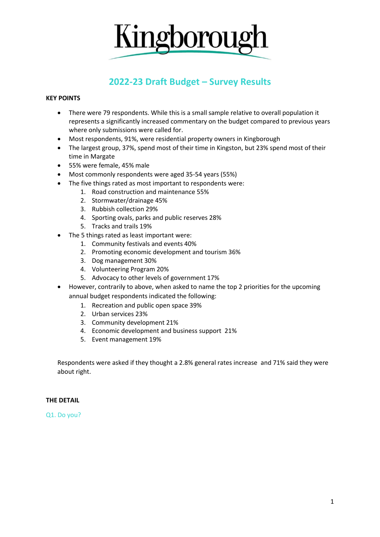

# **2022-23 Draft Budget – Survey Results**

### **KEY POINTS**

- There were 79 respondents. While this is a small sample relative to overall population it represents a significantly increased commentary on the budget compared to previous years where only submissions were called for.
- Most respondents, 91%, were residential property owners in Kingborough
- The largest group, 37%, spend most of their time in Kingston, but 23% spend most of their time in Margate
- 55% were female, 45% male
- Most commonly respondents were aged 35-54 years (55%)
- The five things rated as most important to respondents were:
	- 1. Road construction and maintenance 55%
	- 2. Stormwater/drainage 45%
	- 3. Rubbish collection 29%
	- 4. Sporting ovals, parks and public reserves 28%
	- 5. Tracks and trails 19%
- The 5 things rated as least important were:
	- 1. Community festivals and events 40%
	- 2. Promoting economic development and tourism 36%
	- 3. Dog management 30%
	- 4. Volunteering Program 20%
	- 5. Advocacy to other levels of government 17%
- However, contrarily to above, when asked to name the top 2 priorities for the upcoming annual budget respondents indicated the following:
	- 1. Recreation and public open space 39%
	- 2. Urban services 23%
	- 3. Community development 21%
	- 4. Economic development and business support 21%
	- 5. Event management 19%

Respondents were asked if they thought a 2.8% general rates increase and 71% said they were about right.

#### **THE DETAIL**

Q1. Do you?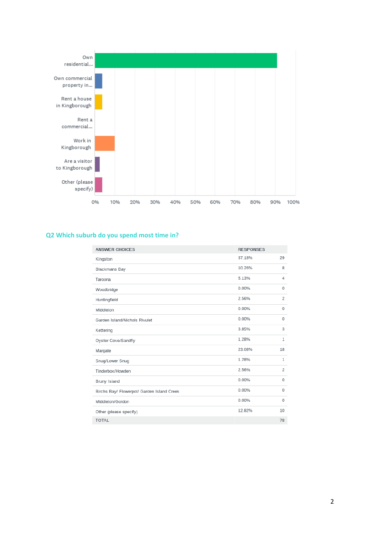

### **Q2 Which suburb do you spend most time in?**

| <b>ANSWER CHOICES</b>                      | <b>RESPONSES</b> |              |
|--------------------------------------------|------------------|--------------|
| Kingston                                   | 37.18%           | 29           |
| Blackmans Bay                              | 10.26%           | 8            |
| Taroona                                    | 5.13%            | 4            |
| Woodbridge                                 | 0.00%            | 0            |
| Huntingfield                               | 2.56%            | 2            |
| Middleton                                  | 0.00%            | 0            |
| Garden Island/Nichols Rivulet              | 0.00%            | 0            |
| Kettering                                  | 3.85%            | 3            |
| Oyster Cove/Sandfly                        | 1.28%            | $\mathbf{1}$ |
| Margate                                    | 23.08%           | 18           |
| Snug/Lower Snug                            | 1.28%            | 1            |
| Tinderbox/Howden                           | 2.56%            | 2            |
| Bruny Island                               | 0.00%            | 0            |
| Birchs Bay/ Flowerpot/ Garden Island Creek | 0.00%            | 0            |
| Middleton/Gordon                           | 0.00%            | 0            |
| Other (please specify)                     | 12.82%           | 10           |
| <b>TOTAL</b>                               |                  | 78           |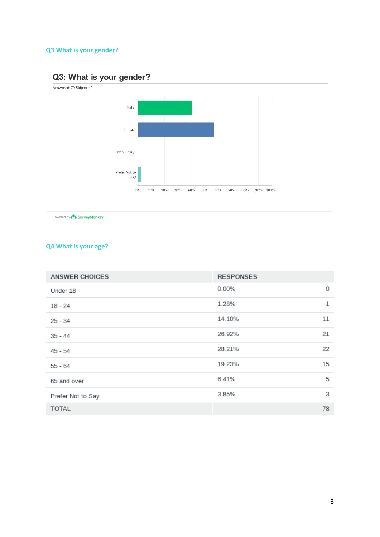# **Q3 What is your gender?**

# Q3: What is your gender?

Answered: 79 Skipped: 0



Powered by SurveyMonkey

### **Q4 What is your age?**

| <b>ANSWER CHOICES</b> | <b>RESPONSES</b> |    |
|-----------------------|------------------|----|
| Under 18              | 0.00%            | 0  |
| 18 - 24               | 1.28%            | 1  |
| 25 - 34               | 14.10%           | 11 |
| $35 - 44$             | 26.92%           | 21 |
| 45 - 54               | 28.21%           | 22 |
| $55 - 64$             | 19.23%           | 15 |
| 65 and over           | 6.41%            | 5  |
| Prefer Not to Say     | 3.85%            | 3  |
| <b>TOTAL</b>          |                  | 78 |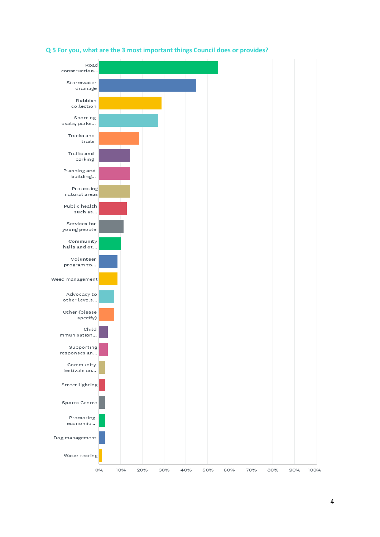

### **Q 5 For you, what are the 3 most important things Council does or provides?**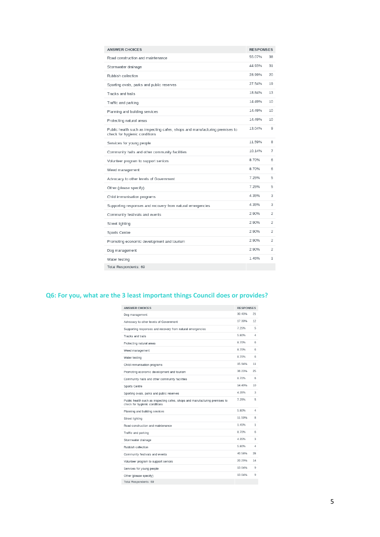| <b>ANSWER CHOICES</b>                                                                                        | <b>RESPONSES</b> |                |
|--------------------------------------------------------------------------------------------------------------|------------------|----------------|
| Road construction and maintenance                                                                            | 55.07%           | 38             |
| Stormwater drainage                                                                                          | 44.93%           | 31             |
| Rubbish collection                                                                                           | 28.99%           | 20             |
| Sporting ovals, parks and public reserves                                                                    | 27.54%           | 19             |
| Tracks and trails                                                                                            | 18.84%           | 13             |
| Traffic and parking                                                                                          | 14.49%           | 10             |
| Planning and building services                                                                               | 14.49%           | 10             |
| Protecting natural areas                                                                                     | 14.49%           | 10             |
| Public health such as inspecting cafes, shops and manufacturing premises to<br>check for hygienic conditions | 13.04%           | 9              |
| Services for young people                                                                                    | 11.59%           | 8              |
| Community halls and other community facilities                                                               | 10.14%           | 7              |
| Volunteer program to support seniors                                                                         | 8.70%            | 6              |
| Weed management                                                                                              | 8.70%            | 6              |
| Advocacy to other levels of Government                                                                       | 7.25%            | 5              |
| Other (please specify)                                                                                       | 7.25%            | 5              |
| Child immunisation programs                                                                                  | 4.35%            | 3              |
| Supporting responses and recovery from natural emergencies                                                   | 4.35%            | 3              |
| Community festivals and events                                                                               | 2.90%            | $\overline{2}$ |
| Street lighting                                                                                              | 2.90%            | $\overline{2}$ |
| Sports Centre                                                                                                | 2.90%            | $\overline{2}$ |
| Promoting economic development and tourism                                                                   | 2.90%            | 2              |
| Dog management                                                                                               | 2.90%            | 2              |
| Water testing                                                                                                | 1.45%            | $\mathbf{1}$   |
| Total Respondents: 69                                                                                        |                  |                |

# **Q6: For you, what are the 3 least important things Council does or provides?**

| <b>ANSWER CHOICES</b>                                                                                        | <b>RESPONSES</b> |    |
|--------------------------------------------------------------------------------------------------------------|------------------|----|
| Dog management                                                                                               | 30.43%           | 21 |
| Advocacy to other levels of Government                                                                       | 17.39%           | 12 |
| Supporting responses and recovery from natural emergencies                                                   | 7 25%            | 5  |
| Tracks and trails                                                                                            | 5 80%            | 4  |
| Protecting natural areas                                                                                     | 8.70%            | 6  |
| Weed management                                                                                              | 8 70%            | 6  |
| Water testing                                                                                                | 8.70%            | 6  |
| Child immunisation programs                                                                                  | 15.94%           | 11 |
| Promoting economic development and tourism                                                                   | 36.23%           | 25 |
| Community halls and other community facilities                                                               | 8.70%            | 6  |
| <b>Sports Centre</b>                                                                                         | 14.49%           | 10 |
| Sporting ovals, parks and public reserves                                                                    | 4.35%            | 3  |
| Public health such as inspecting cafes, shops and manufacturing premises to<br>check for hygienic conditions | 7.25%            | 5  |
| Planning and building services                                                                               | 5.80%            | 4  |
| Street lighting                                                                                              | 11.59%           | R  |
| Road construction and maintenance                                                                            | 1.45%            | 1  |
| Traffic and parking                                                                                          | 8 70%            | 6  |
| Stormwater drainage                                                                                          | 4 35%            | 3  |
| Rubbish collection                                                                                           | 5.80%            | 4  |
| Community festivals and events                                                                               | 40.58%           | 28 |
| Volunteer program to support seniors                                                                         | 20.29%           | 14 |
| Services for young people                                                                                    | 13.04%           | 9  |
| Other (please specify)                                                                                       | 13.04%           | 9  |
| Total Respondents: 69                                                                                        |                  |    |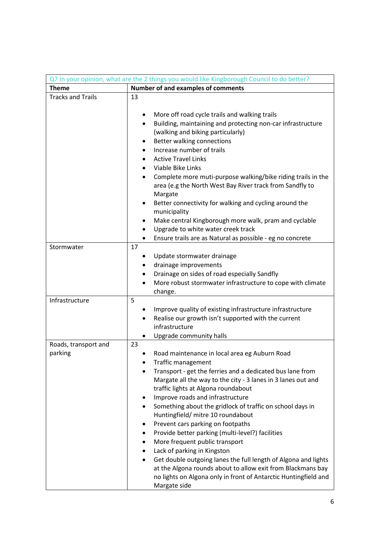| Q7 In your opinion, what are the 2 things you would like Kingborough Council to do better? |                                                                                                                                                                                                                                                                                                                                                                                                                                                                                                                                                                                                                                                                                                                                                                                  |  |  |
|--------------------------------------------------------------------------------------------|----------------------------------------------------------------------------------------------------------------------------------------------------------------------------------------------------------------------------------------------------------------------------------------------------------------------------------------------------------------------------------------------------------------------------------------------------------------------------------------------------------------------------------------------------------------------------------------------------------------------------------------------------------------------------------------------------------------------------------------------------------------------------------|--|--|
| <b>Theme</b>                                                                               | Number of and examples of comments                                                                                                                                                                                                                                                                                                                                                                                                                                                                                                                                                                                                                                                                                                                                               |  |  |
| <b>Tracks and Trails</b>                                                                   | 13                                                                                                                                                                                                                                                                                                                                                                                                                                                                                                                                                                                                                                                                                                                                                                               |  |  |
|                                                                                            | More off road cycle trails and walking trails<br>Building, maintaining and protecting non-car infrastructure<br>(walking and biking particularly)<br>Better walking connections<br>٠<br>Increase number of trails<br><b>Active Travel Links</b><br>$\bullet$<br>Viable Bike Links<br>Complete more muti-purpose walking/bike riding trails in the<br>area (e.g the North West Bay River track from Sandfly to<br>Margate<br>Better connectivity for walking and cycling around the<br>٠<br>municipality<br>Make central Kingborough more walk, pram and cyclable<br>٠<br>Upgrade to white water creek track<br>Ensure trails are as Natural as possible - eg no concrete                                                                                                         |  |  |
| Stormwater                                                                                 | 17                                                                                                                                                                                                                                                                                                                                                                                                                                                                                                                                                                                                                                                                                                                                                                               |  |  |
|                                                                                            | Update stormwater drainage<br>drainage improvements<br>Drainage on sides of road especially Sandfly<br>More robust stormwater infrastructure to cope with climate<br>change.                                                                                                                                                                                                                                                                                                                                                                                                                                                                                                                                                                                                     |  |  |
| Infrastructure                                                                             | 5<br>Improve quality of existing infrastructure infrastructure<br>Realise our growth isn't supported with the current<br>infrastructure<br>Upgrade community halls                                                                                                                                                                                                                                                                                                                                                                                                                                                                                                                                                                                                               |  |  |
| Roads, transport and<br>parking                                                            | 23<br>Road maintenance in local area eg Auburn Road<br>Traffic management<br>Transport - get the ferries and a dedicated bus lane from<br>Margate all the way to the city - 3 lanes in 3 lanes out and<br>traffic lights at Algona roundabout<br>Improve roads and infrastructure<br>٠<br>Something about the gridlock of traffic on school days in<br>Huntingfield/ mitre 10 roundabout<br>Prevent cars parking on footpaths<br>٠<br>Provide better parking (multi-level?) facilities<br>More frequent public transport<br>Lack of parking in Kingston<br>٠<br>Get double outgoing lanes the full length of Algona and lights<br>at the Algona rounds about to allow exit from Blackmans bay<br>no lights on Algona only in front of Antarctic Huntingfield and<br>Margate side |  |  |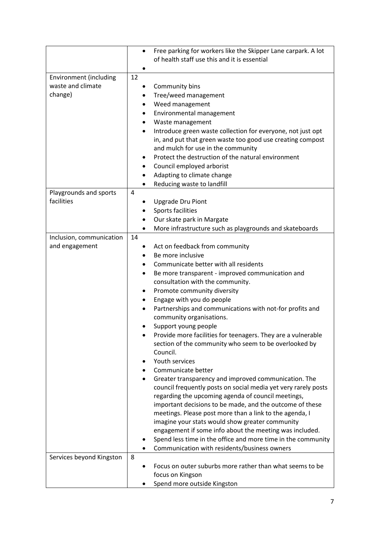|                                                               | $\bullet$                              | Free parking for workers like the Skipper Lane carpark. A lot<br>of health staff use this and it is essential                                                                                                                                                                                                                                                                                                                                                                                                                                                                                                                                                                                                                                                                                                                                                                                                                                                                                                                                                                      |
|---------------------------------------------------------------|----------------------------------------|------------------------------------------------------------------------------------------------------------------------------------------------------------------------------------------------------------------------------------------------------------------------------------------------------------------------------------------------------------------------------------------------------------------------------------------------------------------------------------------------------------------------------------------------------------------------------------------------------------------------------------------------------------------------------------------------------------------------------------------------------------------------------------------------------------------------------------------------------------------------------------------------------------------------------------------------------------------------------------------------------------------------------------------------------------------------------------|
| <b>Environment (including</b><br>waste and climate<br>change) | 12<br>٠<br>$\bullet$<br>٠              | Community bins<br>Tree/weed management<br>Weed management<br>Environmental management                                                                                                                                                                                                                                                                                                                                                                                                                                                                                                                                                                                                                                                                                                                                                                                                                                                                                                                                                                                              |
|                                                               | $\bullet$<br>$\bullet$<br>$\bullet$    | Waste management<br>Introduce green waste collection for everyone, not just opt<br>in, and put that green waste too good use creating compost<br>and mulch for use in the community<br>Protect the destruction of the natural environment<br>Council employed arborist                                                                                                                                                                                                                                                                                                                                                                                                                                                                                                                                                                                                                                                                                                                                                                                                             |
|                                                               |                                        | Adapting to climate change<br>Reducing waste to landfill                                                                                                                                                                                                                                                                                                                                                                                                                                                                                                                                                                                                                                                                                                                                                                                                                                                                                                                                                                                                                           |
| Playgrounds and sports<br>facilities                          | 4                                      | <b>Upgrade Dru Piont</b><br>Sports facilities<br>Our skate park in Margate<br>More infrastructure such as playgrounds and skateboards                                                                                                                                                                                                                                                                                                                                                                                                                                                                                                                                                                                                                                                                                                                                                                                                                                                                                                                                              |
| Inclusion, communication<br>and engagement                    | 14<br>٠<br>٠<br>$\bullet$<br>$\bullet$ | Act on feedback from community<br>Be more inclusive<br>Communicate better with all residents<br>Be more transparent - improved communication and<br>consultation with the community.<br>Promote community diversity<br>Engage with you do people<br>Partnerships and communications with not-for profits and<br>community organisations.<br>Support young people<br>Provide more facilities for teenagers. They are a vulnerable<br>section of the community who seem to be overlooked by<br>Council.<br>Youth services<br>Communicate better<br>Greater transparency and improved communication. The<br>council frequently posts on social media yet very rarely posts<br>regarding the upcoming agenda of council meetings,<br>important decisions to be made, and the outcome of these<br>meetings. Please post more than a link to the agenda, I<br>imagine your stats would show greater community<br>engagement if some info about the meeting was included.<br>Spend less time in the office and more time in the community<br>Communication with residents/business owners |
| Services beyond Kingston                                      | 8                                      | Focus on outer suburbs more rather than what seems to be<br>focus on Kingson<br>Spend more outside Kingston                                                                                                                                                                                                                                                                                                                                                                                                                                                                                                                                                                                                                                                                                                                                                                                                                                                                                                                                                                        |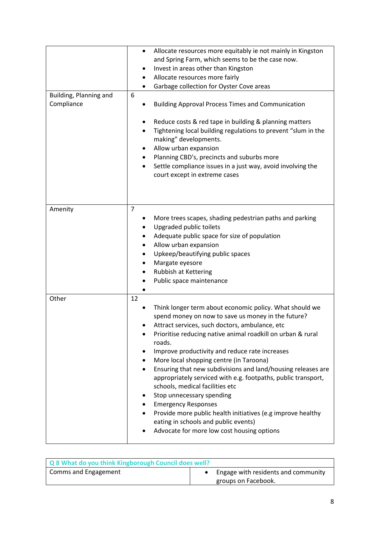| Building, Planning and<br>Compliance | Allocate resources more equitably ie not mainly in Kingston<br>٠<br>and Spring Farm, which seems to be the case now.<br>Invest in areas other than Kingston<br>٠<br>Allocate resources more fairly<br>٠<br>Garbage collection for Oyster Cove areas<br>6<br><b>Building Approval Process Times and Communication</b><br>Reduce costs & red tape in building & planning matters<br>Tightening local building regulations to prevent "slum in the<br>making" developments.<br>Allow urban expansion<br>Planning CBD's, precincts and suburbs more<br>Settle compliance issues in a just way, avoid involving the<br>court except in extreme cases                                                                                              |
|--------------------------------------|----------------------------------------------------------------------------------------------------------------------------------------------------------------------------------------------------------------------------------------------------------------------------------------------------------------------------------------------------------------------------------------------------------------------------------------------------------------------------------------------------------------------------------------------------------------------------------------------------------------------------------------------------------------------------------------------------------------------------------------------|
| Amenity                              | $\overline{7}$<br>More trees scapes, shading pedestrian paths and parking<br>Upgraded public toilets<br>Adequate public space for size of population<br>Allow urban expansion<br>Upkeep/beautifying public spaces<br>Margate eyesore<br>Rubbish at Kettering<br>Public space maintenance                                                                                                                                                                                                                                                                                                                                                                                                                                                     |
| Other                                | 12<br>Think longer term about economic policy. What should we<br>spend money on now to save us money in the future?<br>Attract services, such doctors, ambulance, etc<br>Prioritise reducing native animal roadkill on urban & rural<br>roads.<br>Improve productivity and reduce rate increases<br>More local shopping centre (in Taroona)<br>$\bullet$<br>Ensuring that new subdivisions and land/housing releases are<br>appropriately serviced with e.g. footpaths, public transport,<br>schools, medical facilities etc<br>Stop unnecessary spending<br><b>Emergency Responses</b><br>Provide more public health initiatives (e.g improve healthy<br>eating in schools and public events)<br>Advocate for more low cost housing options |

| Q 8 What do you think Kingborough Council does well? |                                     |
|------------------------------------------------------|-------------------------------------|
| Comms and Engagement                                 | Engage with residents and community |
|                                                      | groups on Facebook.                 |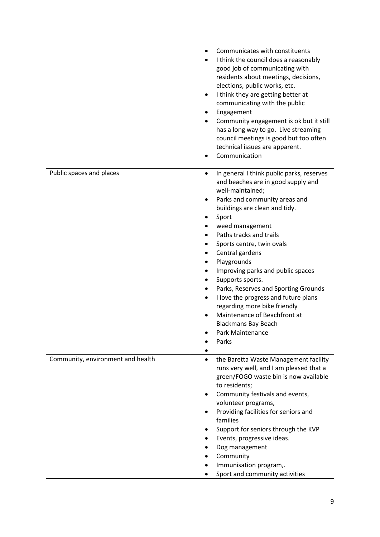|                                   | Communicates with constituents<br>I think the council does a reasonably<br>good job of communicating with<br>residents about meetings, decisions,<br>elections, public works, etc.<br>I think they are getting better at<br>communicating with the public<br>Engagement<br>Community engagement is ok but it still<br>has a long way to go. Live streaming                                                                                                                                                                                                                   |
|-----------------------------------|------------------------------------------------------------------------------------------------------------------------------------------------------------------------------------------------------------------------------------------------------------------------------------------------------------------------------------------------------------------------------------------------------------------------------------------------------------------------------------------------------------------------------------------------------------------------------|
|                                   | council meetings is good but too often<br>technical issues are apparent.<br>Communication                                                                                                                                                                                                                                                                                                                                                                                                                                                                                    |
| Public spaces and places          | In general I think public parks, reserves<br>$\bullet$<br>and beaches are in good supply and<br>well-maintained;<br>Parks and community areas and<br>buildings are clean and tidy.<br>Sport<br>weed management<br>Paths tracks and trails<br>Sports centre, twin ovals<br>Central gardens<br>Playgrounds<br>Improving parks and public spaces<br>Supports sports.<br>Parks, Reserves and Sporting Grounds<br>I love the progress and future plans<br>regarding more bike friendly<br>Maintenance of Beachfront at<br><b>Blackmans Bay Beach</b><br>Park Maintenance<br>Parks |
| Community, environment and health | the Baretta Waste Management facility<br>٠<br>runs very well, and I am pleased that a<br>green/FOGO waste bin is now available<br>to residents;<br>Community festivals and events,<br>volunteer programs,<br>Providing facilities for seniors and<br>families<br>Support for seniors through the KVP<br>Events, progressive ideas.<br>Dog management<br>Community<br>Immunisation program,.<br>Sport and community activities                                                                                                                                                |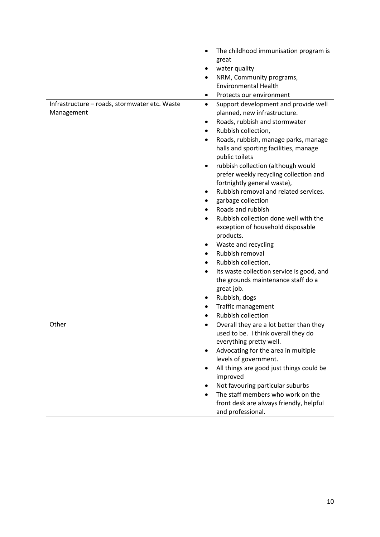|                                               | The childhood immunisation program is<br>٠<br>great  |
|-----------------------------------------------|------------------------------------------------------|
|                                               | water quality                                        |
|                                               | NRM, Community programs,                             |
|                                               | <b>Environmental Health</b>                          |
|                                               | Protects our environment                             |
| Infrastructure - roads, stormwater etc. Waste | Support development and provide well<br>$\bullet$    |
| Management                                    | planned, new infrastructure.                         |
|                                               | Roads, rubbish and stormwater                        |
|                                               | Rubbish collection,                                  |
|                                               | Roads, rubbish, manage parks, manage                 |
|                                               | halls and sporting facilities, manage                |
|                                               | public toilets                                       |
|                                               | rubbish collection (although would                   |
|                                               | prefer weekly recycling collection and               |
|                                               | fortnightly general waste),                          |
|                                               | Rubbish removal and related services.                |
|                                               | garbage collection                                   |
|                                               | Roads and rubbish                                    |
|                                               | Rubbish collection done well with the                |
|                                               | exception of household disposable                    |
|                                               | products.                                            |
|                                               | Waste and recycling                                  |
|                                               | Rubbish removal                                      |
|                                               | Rubbish collection,                                  |
|                                               | Its waste collection service is good, and            |
|                                               | the grounds maintenance staff do a                   |
|                                               | great job.                                           |
|                                               | Rubbish, dogs                                        |
|                                               | <b>Traffic management</b>                            |
|                                               | <b>Rubbish collection</b>                            |
| Other                                         | Overall they are a lot better than they<br>$\bullet$ |
|                                               | used to be. I think overall they do                  |
|                                               | everything pretty well.                              |
|                                               | Advocating for the area in multiple                  |
|                                               | levels of government.                                |
|                                               | All things are good just things could be             |
|                                               | improved                                             |
|                                               | Not favouring particular suburbs                     |
|                                               | The staff members who work on the                    |
|                                               | front desk are always friendly, helpful              |
|                                               | and professional.                                    |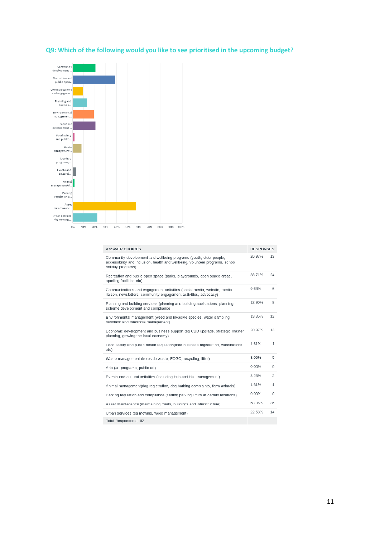# **Q9: Which of the following would you like to see prioritised in the upcoming budget?**



| <b>ANSWER CHOICES</b>                                                                                                                                                    | <b>RESPONSES</b> |                |
|--------------------------------------------------------------------------------------------------------------------------------------------------------------------------|------------------|----------------|
| Community development and wellbeing programs (youth, older people,<br>accessibility and inclusion, health and wellbeing, volunteer programs, school<br>holiday programs) | 20.97%           | 13             |
| Recreation and public open space (parks, playgrounds, open space areas,<br>sporting facilities etc)                                                                      | 38.71%           | 24             |
| Communications and engagement activities (social media, website, media<br>liaison, newsletters, community engagement activities, advocacy)                               | 9.68%            | 6              |
| Planning and building services (planning and building applications, planning<br>scheme development and compliance                                                        | 12.90%           | 8              |
| Environmental management (weed and invasive species, water sampling,<br>bushland and foreshore management)                                                               | 19.35%           | 12             |
| Economic development and business support (eg CBD upgrade, strategic master<br>planning, growing the local economy)                                                      | 20.97%           | 13             |
| Food safety and public health regulation(food business registration, vaccinations<br>etc)                                                                                | 1.61%            | $\mathbf{1}$   |
| Waste management (kerbside waste, FOGO, recycling, litter)                                                                                                               | 8.06%            | 5              |
| Arts (art programs, public art)                                                                                                                                          | 0.00%            | 0              |
| Events and cultural activities (including Hub and Hall management)                                                                                                       | 3.23%            | $\overline{2}$ |
| Animal management(dog registration, dog barking complaints, farm animals)                                                                                                | 1.61%            | 1              |
| Parking regulation and compliance (setting parking limits at certain locations)                                                                                          | 0.00%            | $\circ$        |
| Asset maintenance (maintaining roads, buildings and infrastructure)                                                                                                      | 58.06%           | 36             |
| Urban services (eq mowing, weed management)                                                                                                                              | 22.58%           | 14             |
| Total Respondents: 62                                                                                                                                                    |                  |                |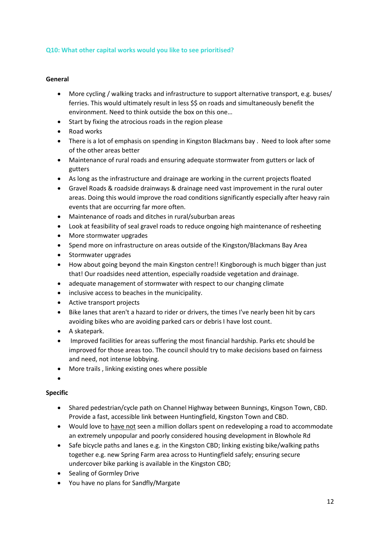### **Q10: What other capital works would you like to see prioritised?**

### **General**

- More cycling / walking tracks and infrastructure to support alternative transport, e.g. buses/ ferries. This would ultimately result in less \$\$ on roads and simultaneously benefit the environment. Need to think outside the box on this one…
- Start by fixing the atrocious roads in the region please
- Road works
- There is a lot of emphasis on spending in Kingston Blackmans bay . Need to look after some of the other areas better
- Maintenance of rural roads and ensuring adequate stormwater from gutters or lack of gutters
- As long as the infrastructure and drainage are working in the current projects floated
- Gravel Roads & roadside drainways & drainage need vast improvement in the rural outer areas. Doing this would improve the road conditions significantly especially after heavy rain events that are occurring far more often.
- Maintenance of roads and ditches in rural/suburban areas
- Look at feasibility of seal gravel roads to reduce ongoing high maintenance of resheeting
- More stormwater upgrades
- Spend more on infrastructure on areas outside of the Kingston/Blackmans Bay Area
- Stormwater upgrades
- How about going beyond the main Kingston centre!! Kingborough is much bigger than just that! Our roadsides need attention, especially roadside vegetation and drainage.
- adequate management of stormwater with respect to our changing climate
- inclusive access to beaches in the municipality.
- Active transport projects
- Bike lanes that aren't a hazard to rider or drivers, the times I've nearly been hit by cars avoiding bikes who are avoiding parked cars or debris I have lost count.
- A skatepark.
- Improved facilities for areas suffering the most financial hardship. Parks etc should be improved for those areas too. The council should try to make decisions based on fairness and need, not intense lobbying.
- More trails , linking existing ones where possible
- •

### **Specific**

- Shared pedestrian/cycle path on Channel Highway between Bunnings, Kingson Town, CBD. Provide a fast, accessible link between Huntingfield, Kingston Town and CBD.
- Would love to have not seen a million dollars spent on redeveloping a road to accommodate an extremely unpopular and poorly considered housing development in Blowhole Rd
- Safe bicycle paths and lanes e.g. in the Kingston CBD; linking existing bike/walking paths together e.g. new Spring Farm area across to Huntingfield safely; ensuring secure undercover bike parking is available in the Kingston CBD;
- Sealing of Gormley Drive
- You have no plans for Sandfly/Margate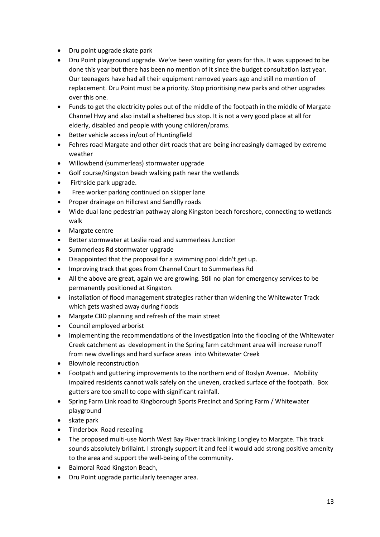- Dru point upgrade skate park
- Dru Point playground upgrade. We've been waiting for years for this. It was supposed to be done this year but there has been no mention of it since the budget consultation last year. Our teenagers have had all their equipment removed years ago and still no mention of replacement. Dru Point must be a priority. Stop prioritising new parks and other upgrades over this one.
- Funds to get the electricity poles out of the middle of the footpath in the middle of Margate Channel Hwy and also install a sheltered bus stop. It is not a very good place at all for elderly, disabled and people with young children/prams.
- Better vehicle access in/out of Huntingfield
- Fehres road Margate and other dirt roads that are being increasingly damaged by extreme weather
- Willowbend (summerleas) stormwater upgrade
- Golf course/Kingston beach walking path near the wetlands
- Firthside park upgrade.
- Free worker parking continued on skipper lane
- Proper drainage on Hillcrest and Sandfly roads
- Wide dual lane pedestrian pathway along Kingston beach foreshore, connecting to wetlands walk
- Margate centre
- Better stormwater at Leslie road and summerleas Junction
- Summerleas Rd stormwater upgrade
- Disappointed that the proposal for a swimming pool didn't get up.
- Improving track that goes from Channel Court to Summerleas Rd
- All the above are great, again we are growing. Still no plan for emergency services to be permanently positioned at Kingston.
- installation of flood management strategies rather than widening the Whitewater Track which gets washed away during floods
- Margate CBD planning and refresh of the main street
- Council employed arborist
- Implementing the recommendations of the investigation into the flooding of the Whitewater Creek catchment as development in the Spring farm catchment area will increase runoff from new dwellings and hard surface areas into Whitewater Creek
- Blowhole reconstruction
- Footpath and guttering improvements to the northern end of Roslyn Avenue. Mobility impaired residents cannot walk safely on the uneven, cracked surface of the footpath. Box gutters are too small to cope with significant rainfall.
- Spring Farm Link road to Kingborough Sports Precinct and Spring Farm / Whitewater playground
- skate park
- Tinderbox Road resealing
- The proposed multi-use North West Bay River track linking Longley to Margate. This track sounds absolutely brillaint. I strongly support it and feel it would add strong positive amenity to the area and support the well-being of the community.
- Balmoral Road Kingston Beach,
- Dru Point upgrade particularly teenager area.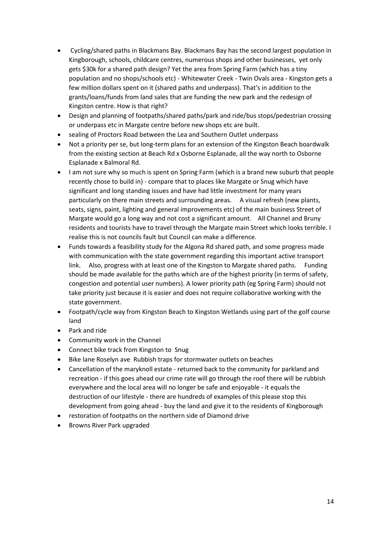- Cycling/shared paths in Blackmans Bay. Blackmans Bay has the second largest population in Kingborough, schools, childcare centres, numerous shops and other businesses, yet only gets \$30k for a shared path design? Yet the area from Spring Farm (which has a tiny population and no shops/schools etc) - Whitewater Creek - Twin Ovals area - Kingston gets a few million dollars spent on it (shared paths and underpass). That's in addition to the grants/loans/funds from land sales that are funding the new park and the redesign of Kingston centre. How is that right?
- Design and planning of footpaths/shared paths/park and ride/bus stops/pedestrian crossing or underpass etc in Margate centre before new shops etc are built.
- sealing of Proctors Road between the Lea and Southern Outlet underpass
- Not a priority per se, but long-term plans for an extension of the Kingston Beach boardwalk from the existing section at Beach Rd x Osborne Esplanade, all the way north to Osborne Esplanade x Balmoral Rd.
- I am not sure why so much is spent on Spring Farm (which is a brand new suburb that people recently chose to build in) - compare that to places like Margate or Snug which have significant and long standing issues and have had little investment for many years particularly on there main streets and surrounding areas. A visual refresh (new plants, seats, signs, paint, lighting and general improvements etc) of the main business Street of Margate would go a long way and not cost a significant amount. All Channel and Bruny residents and tourists have to travel through the Margate main Street which looks terrible. I realise this is not councils fault but Council can make a difference.
- Funds towards a feasibility study for the Algona Rd shared path, and some progress made with communication with the state government regarding this important active transport link. Also, progress with at least one of the Kingston to Margate shared paths. Funding should be made available for the paths which are of the highest priority (in terms of safety, congestion and potential user numbers). A lower priority path (eg Spring Farm) should not take priority just because it is easier and does not require collaborative working with the state government.
- Footpath/cycle way from Kingston Beach to Kingston Wetlands using part of the golf course land
- Park and ride
- Community work in the Channel
- Connect bike track from Kingston to Snug
- Bike lane Roselyn ave Rubbish traps for stormwater outlets on beaches
- Cancellation of the maryknoll estate returned back to the community for parkland and recreation - if this goes ahead our crime rate will go through the roof there will be rubbish everywhere and the local area will no longer be safe and enjoyable - it equals the destruction of our lifestyle - there are hundreds of examples of this please stop this development from going ahead - buy the land and give it to the residents of Kingborough
- restoration of footpaths on the northern side of Diamond drive
- Browns River Park upgraded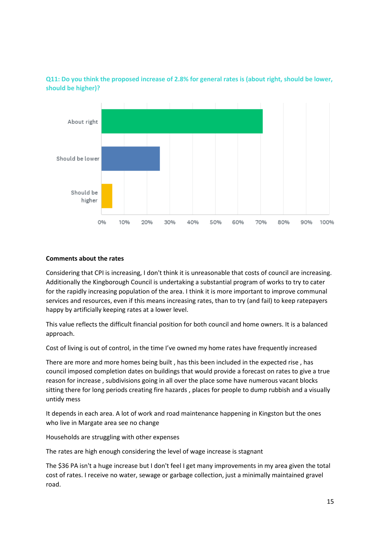

**Q11: Do you think the proposed increase of 2.8% for general rates is (about right, should be lower, should be higher)?**

### **Comments about the rates**

Considering that CPI is increasing, I don't think it is unreasonable that costs of council are increasing. Additionally the Kingborough Council is undertaking a substantial program of works to try to cater for the rapidly increasing population of the area. I think it is more important to improve communal services and resources, even if this means increasing rates, than to try (and fail) to keep ratepayers happy by artificially keeping rates at a lower level.

This value reflects the difficult financial position for both council and home owners. It is a balanced approach.

Cost of living is out of control, in the time I've owned my home rates have frequently increased

There are more and more homes being built , has this been included in the expected rise , has council imposed completion dates on buildings that would provide a forecast on rates to give a true reason for increase , subdivisions going in all over the place some have numerous vacant blocks sitting there for long periods creating fire hazards , places for people to dump rubbish and a visually untidy mess

It depends in each area. A lot of work and road maintenance happening in Kingston but the ones who live in Margate area see no change

Households are struggling with other expenses

The rates are high enough considering the level of wage increase is stagnant

The \$36 PA isn't a huge increase but I don't feel I get many improvements in my area given the total cost of rates. I receive no water, sewage or garbage collection, just a minimally maintained gravel road.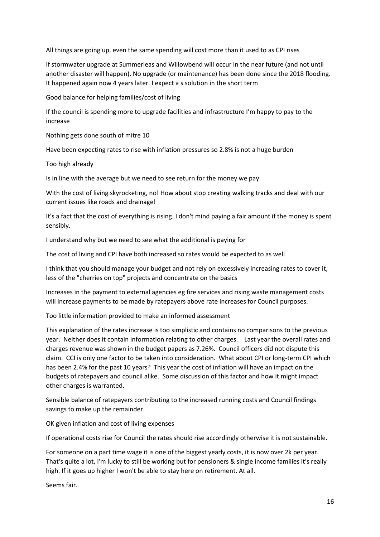All things are going up, even the same spending will cost more than it used to as CPI rises

If stormwater upgrade at Summerleas and Willowbend will occur in the near future (and not until another disaster will happen). No upgrade (or maintenance) has been done since the 2018 flooding. It happened again now 4 years later. I expect a s solution in the short term

Good balance for helping families/cost of living

If the council is spending more to upgrade facilities and infrastructure I'm happy to pay to the increase

Nothing gets done south of mitre 10

Have been expecting rates to rise with inflation pressures so 2.8% is not a huge burden

Too high already

Is in line with the average but we need to see return for the money we pay

With the cost of living skyrocketing, no! How about stop creating walking tracks and deal with our current issues like roads and drainage!

It's a fact that the cost of everything is rising. I don't mind paying a fair amount if the money is spent sensibly.

I understand why but we need to see what the additional is paying for

The cost of living and CPI have both increased so rates would be expected to as well

I think that you should manage your budget and not rely on excessively increasing rates to cover it, less of the "cherries on top" projects and concentrate on the basics

Increases in the payment to external agencies eg fire services and rising waste management costs will increase payments to be made by ratepayers above rate increases for Council purposes.

Too little information provided to make an informed assessment

This explanation of the rates increase is too simplistic and contains no comparisons to the previous year. Neither does it contain information relating to other charges. Last year the overall rates and charges revenue was shown in the budget papers as 7.26%. Council officers did not dispute this claim. CCI is only one factor to be taken into consideration. What about CPI or long-term CPI which has been 2.4% for the past 10 years? This year the cost of inflation will have an impact on the budgets of ratepayers and council alike. Some discussion of this factor and how it might impact other charges is warranted.

Sensible balance of ratepayers contributing to the increased running costs and Council findings savings to make up the remainder.

OK given inflation and cost of living expenses

If operational costs rise for Council the rates should rise accordingly otherwise it is not sustainable.

For someone on a part time wage it is one of the biggest yearly costs, it is now over 2k per year. That's quite a lot, I'm lucky to still be working but for pensioners & single income families it's really high. If it goes up higher I won't be able to stay here on retirement. At all.

Seems fair.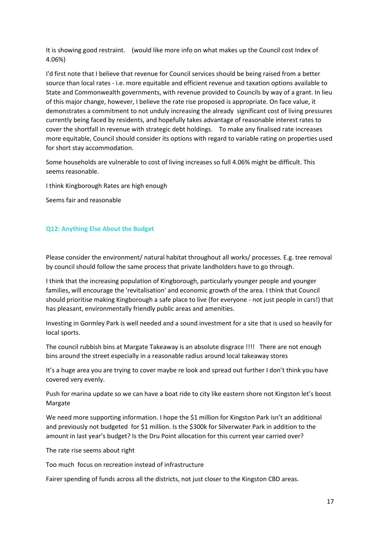It is showing good restraint. (would like more info on what makes up the Council cost Index of 4.06%)

I'd first note that I believe that revenue for Council services should be being raised from a better source than local rates - i.e. more equitable and efficient revenue and taxation options available to State and Commonwealth governments, with revenue provided to Councils by way of a grant. In lieu of this major change, however, I believe the rate rise proposed is appropriate. On face value, it demonstrates a commitment to not unduly increasing the already significant cost of living pressures currently being faced by residents, and hopefully takes advantage of reasonable interest rates to cover the shortfall in revenue with strategic debt holdings. To make any finalised rate increases more equitable, Council should consider its options with regard to variable rating on properties used for short stay accommodation.

Some households are vulnerable to cost of living increases so full 4.06% might be difficult. This seems reasonable.

I think Kingborough Rates are high enough

Seems fair and reasonable

### **Q12: Anything Else About the Budget**

Please consider the environment/ natural habitat throughout all works/ processes. E.g. tree removal by council should follow the same process that private landholders have to go through.

I think that the increasing population of Kingborough, particularly younger people and younger families, will encourage the 'revitalisation' and economic growth of the area. I think that Council should prioritise making Kingborough a safe place to live (for everyone - not just people in cars!) that has pleasant, environmentally friendly public areas and amenities.

Investing in Gormley Park is well needed and a sound investment for a site that is used so heavily for local sports.

The council rubbish bins at Margate Takeaway is an absolute disgrace !!!! There are not enough bins around the street especially in a reasonable radius around local takeaway stores

It's a huge area you are trying to cover maybe re look and spread out further I don't think you have covered very evenly.

Push for marina update so we can have a boat ride to city like eastern shore not Kingston let's boost Margate

We need more supporting information. I hope the \$1 million for Kingston Park isn't an additional and previously not budgeted for \$1 million. Is the \$300k for Silverwater Park in addition to the amount in last year's budget? Is the Dru Point allocation for this current year carried over?

The rate rise seems about right

Too much focus on recreation instead of infrastructure

Fairer spending of funds across all the districts, not just closer to the Kingston CBD areas.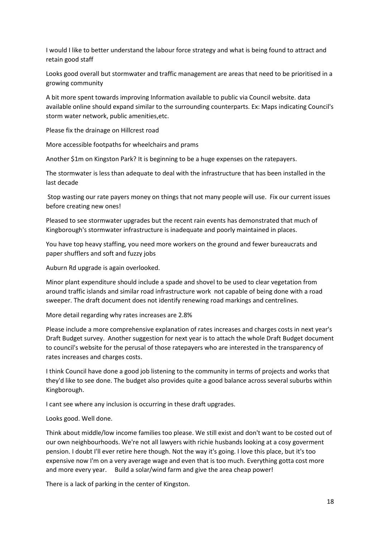I would I like to better understand the labour force strategy and what is being found to attract and retain good staff

Looks good overall but stormwater and traffic management are areas that need to be prioritised in a growing community

A bit more spent towards improving Information available to public via Council website. data available online should expand similar to the surrounding counterparts. Ex: Maps indicating Council's storm water network, public amenities,etc.

Please fix the drainage on Hillcrest road

More accessible footpaths for wheelchairs and prams

Another \$1m on Kingston Park? It is beginning to be a huge expenses on the ratepayers.

The stormwater is less than adequate to deal with the infrastructure that has been installed in the last decade

Stop wasting our rate payers money on things that not many people will use. Fix our current issues before creating new ones!

Pleased to see stormwater upgrades but the recent rain events has demonstrated that much of Kingborough's stormwater infrastructure is inadequate and poorly maintained in places.

You have top heavy staffing, you need more workers on the ground and fewer bureaucrats and paper shufflers and soft and fuzzy jobs

Auburn Rd upgrade is again overlooked.

Minor plant expenditure should include a spade and shovel to be used to clear vegetation from around traffic islands and similar road infrastructure work not capable of being done with a road sweeper. The draft document does not identify renewing road markings and centrelines.

More detail regarding why rates increases are 2.8%

Please include a more comprehensive explanation of rates increases and charges costs in next year's Draft Budget survey. Another suggestion for next year is to attach the whole Draft Budget document to council's website for the perusal of those ratepayers who are interested in the transparency of rates increases and charges costs.

I think Council have done a good job listening to the community in terms of projects and works that they'd like to see done. The budget also provides quite a good balance across several suburbs within Kingborough.

I cant see where any inclusion is occurring in these draft upgrades.

Looks good. Well done.

Think about middle/low income families too please. We still exist and don't want to be costed out of our own neighbourhoods. We're not all lawyers with richie husbands looking at a cosy goverment pension. I doubt I'll ever retire here though. Not the way it's going. I love this place, but it's too expensive now I'm on a very average wage and even that is too much. Everything gotta cost more and more every year. Build a solar/wind farm and give the area cheap power!

There is a lack of parking in the center of Kingston.